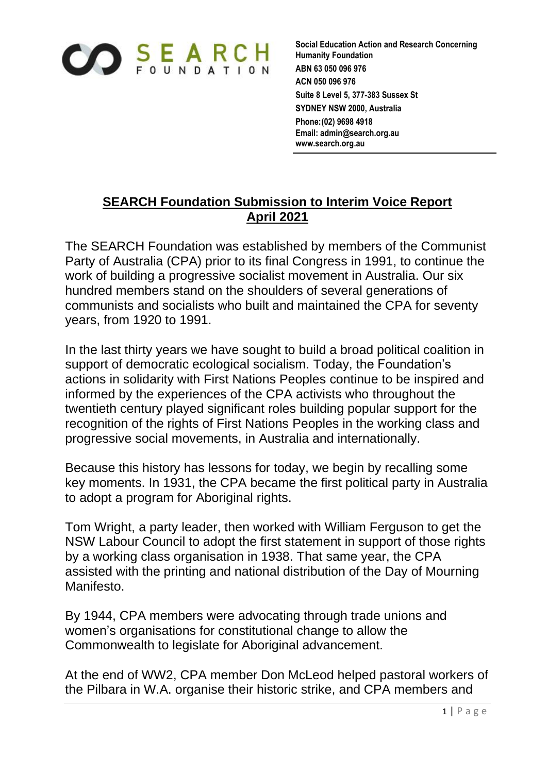

**Social Education Action and Research Concerning Humanity Foundation ABN 63 050 096 976 ACN 050 096 976 Suite 8 Level 5, 377-383 Sussex St SYDNEY NSW 2000, Australia Phone:(02) 9698 4918 Email: admin@search.org.au www.search.org.au**

## **SEARCH Foundation Submission to Interim Voice Report April 2021**

The SEARCH Foundation was established by members of the Communist Party of Australia (CPA) prior to its final Congress in 1991, to continue the work of building a progressive socialist movement in Australia. Our six hundred members stand on the shoulders of several generations of communists and socialists who built and maintained the CPA for seventy years, from 1920 to 1991.

In the last thirty years we have sought to build a broad political coalition in support of democratic ecological socialism. Today, the Foundation's actions in solidarity with First Nations Peoples continue to be inspired and informed by the experiences of the CPA activists who throughout the twentieth century played significant roles building popular support for the recognition of the rights of First Nations Peoples in the working class and progressive social movements, in Australia and internationally.

Because this history has lessons for today, we begin by recalling some key moments. In 1931, the CPA became the first political party in Australia to adopt a program for Aboriginal rights.

Tom Wright, a party leader, then worked with William Ferguson to get the NSW Labour Council to adopt the first statement in support of those rights by a working class organisation in 1938. That same year, the CPA assisted with the printing and national distribution of the Day of Mourning Manifesto.

By 1944, CPA members were advocating through trade unions and women's organisations for constitutional change to allow the Commonwealth to legislate for Aboriginal advancement.

At the end of WW2, CPA member Don McLeod helped pastoral workers of the Pilbara in W.A. organise their historic strike, and CPA members and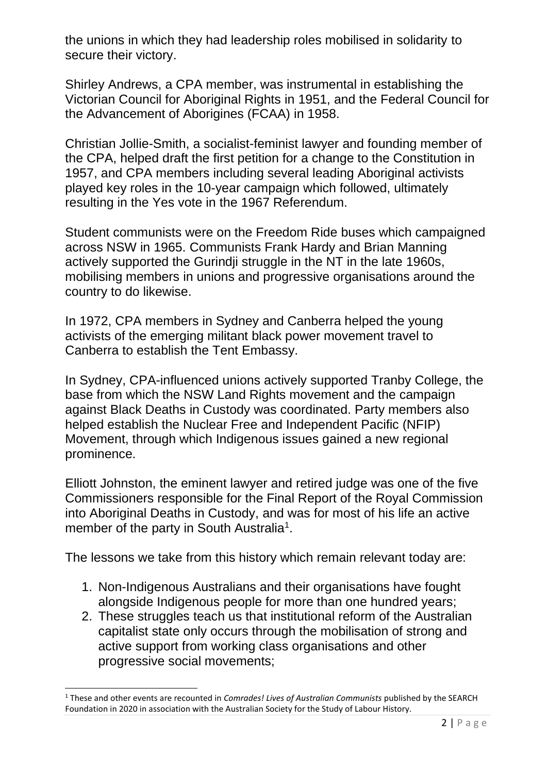the unions in which they had leadership roles mobilised in solidarity to secure their victory.

Shirley Andrews, a CPA member, was instrumental in establishing the Victorian Council for Aboriginal Rights in 1951, and the Federal Council for the Advancement of Aborigines (FCAA) in 1958.

Christian Jollie-Smith, a socialist-feminist lawyer and founding member of the CPA, helped draft the first petition for a change to the Constitution in 1957, and CPA members including several leading Aboriginal activists played key roles in the 10-year campaign which followed, ultimately resulting in the Yes vote in the 1967 Referendum.

Student communists were on the Freedom Ride buses which campaigned across NSW in 1965. Communists Frank Hardy and Brian Manning actively supported the Gurindji struggle in the NT in the late 1960s, mobilising members in unions and progressive organisations around the country to do likewise.

In 1972, CPA members in Sydney and Canberra helped the young activists of the emerging militant black power movement travel to Canberra to establish the Tent Embassy.

In Sydney, CPA-influenced unions actively supported Tranby College, the base from which the NSW Land Rights movement and the campaign against Black Deaths in Custody was coordinated. Party members also helped establish the Nuclear Free and Independent Pacific (NFIP) Movement, through which Indigenous issues gained a new regional prominence.

Elliott Johnston, the eminent lawyer and retired judge was one of the five Commissioners responsible for the Final Report of the Royal Commission into Aboriginal Deaths in Custody, and was for most of his life an active member of the party in South Australia<sup>1</sup>.

The lessons we take from this history which remain relevant today are:

- 1. Non-Indigenous Australians and their organisations have fought alongside Indigenous people for more than one hundred years;
- 2. These struggles teach us that institutional reform of the Australian capitalist state only occurs through the mobilisation of strong and active support from working class organisations and other progressive social movements;

<sup>1</sup> These and other events are recounted in *Comrades! Lives of Australian Communists* published by the SEARCH Foundation in 2020 in association with the Australian Society for the Study of Labour History.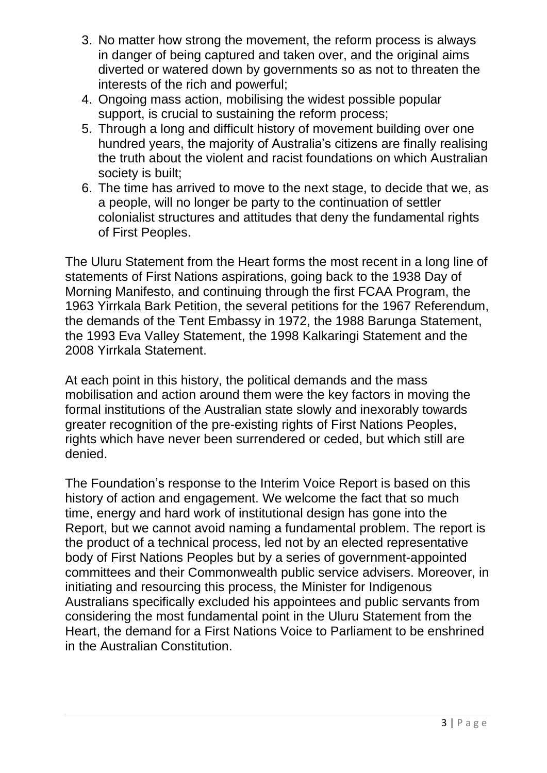- 3. No matter how strong the movement, the reform process is always in danger of being captured and taken over, and the original aims diverted or watered down by governments so as not to threaten the interests of the rich and powerful;
- 4. Ongoing mass action, mobilising the widest possible popular support, is crucial to sustaining the reform process;
- 5. Through a long and difficult history of movement building over one hundred years, the majority of Australia's citizens are finally realising the truth about the violent and racist foundations on which Australian society is built;
- 6. The time has arrived to move to the next stage, to decide that we, as a people, will no longer be party to the continuation of settler colonialist structures and attitudes that deny the fundamental rights of First Peoples.

The Uluru Statement from the Heart forms the most recent in a long line of statements of First Nations aspirations, going back to the 1938 Day of Morning Manifesto, and continuing through the first FCAA Program, the 1963 Yirrkala Bark Petition, the several petitions for the 1967 Referendum, the demands of the Tent Embassy in 1972, the 1988 Barunga Statement, the 1993 Eva Valley Statement, the 1998 Kalkaringi Statement and the 2008 Yirrkala Statement.

At each point in this history, the political demands and the mass mobilisation and action around them were the key factors in moving the formal institutions of the Australian state slowly and inexorably towards greater recognition of the pre-existing rights of First Nations Peoples, rights which have never been surrendered or ceded, but which still are denied.

The Foundation's response to the Interim Voice Report is based on this history of action and engagement. We welcome the fact that so much time, energy and hard work of institutional design has gone into the Report, but we cannot avoid naming a fundamental problem. The report is the product of a technical process, led not by an elected representative body of First Nations Peoples but by a series of government-appointed committees and their Commonwealth public service advisers. Moreover, in initiating and resourcing this process, the Minister for Indigenous Australians specifically excluded his appointees and public servants from considering the most fundamental point in the Uluru Statement from the Heart, the demand for a First Nations Voice to Parliament to be enshrined in the Australian Constitution.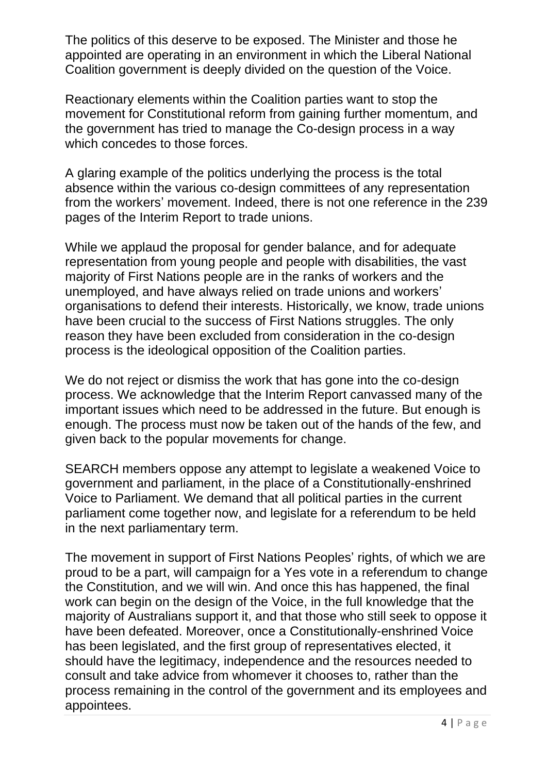The politics of this deserve to be exposed. The Minister and those he appointed are operating in an environment in which the Liberal National Coalition government is deeply divided on the question of the Voice.

Reactionary elements within the Coalition parties want to stop the movement for Constitutional reform from gaining further momentum, and the government has tried to manage the Co-design process in a way which concedes to those forces.

A glaring example of the politics underlying the process is the total absence within the various co-design committees of any representation from the workers' movement. Indeed, there is not one reference in the 239 pages of the Interim Report to trade unions.

While we applaud the proposal for gender balance, and for adequate representation from young people and people with disabilities, the vast majority of First Nations people are in the ranks of workers and the unemployed, and have always relied on trade unions and workers' organisations to defend their interests. Historically, we know, trade unions have been crucial to the success of First Nations struggles. The only reason they have been excluded from consideration in the co-design process is the ideological opposition of the Coalition parties.

We do not reject or dismiss the work that has gone into the co-design process. We acknowledge that the Interim Report canvassed many of the important issues which need to be addressed in the future. But enough is enough. The process must now be taken out of the hands of the few, and given back to the popular movements for change.

SEARCH members oppose any attempt to legislate a weakened Voice to government and parliament, in the place of a Constitutionally-enshrined Voice to Parliament. We demand that all political parties in the current parliament come together now, and legislate for a referendum to be held in the next parliamentary term.

The movement in support of First Nations Peoples' rights, of which we are proud to be a part, will campaign for a Yes vote in a referendum to change the Constitution, and we will win. And once this has happened, the final work can begin on the design of the Voice, in the full knowledge that the majority of Australians support it, and that those who still seek to oppose it have been defeated. Moreover, once a Constitutionally-enshrined Voice has been legislated, and the first group of representatives elected, it should have the legitimacy, independence and the resources needed to consult and take advice from whomever it chooses to, rather than the process remaining in the control of the government and its employees and appointees.